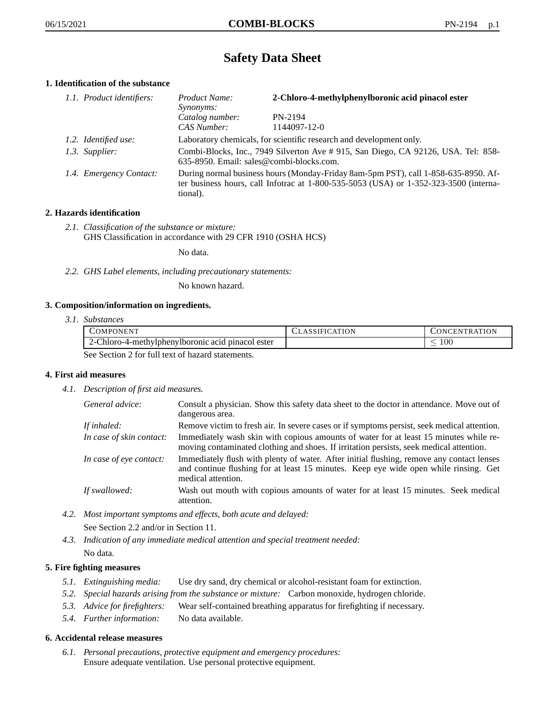# **Safety Data Sheet**

# **1. Identification of the substance**

| 1.1. Product identifiers: | Product Name:<br><i>Synonyms:</i>                                                                                                                                                           | 2-Chloro-4-methylphenylboronic acid pinacol ester |
|---------------------------|---------------------------------------------------------------------------------------------------------------------------------------------------------------------------------------------|---------------------------------------------------|
|                           | Catalog number:<br>CAS Number:                                                                                                                                                              | PN-2194<br>1144097-12-0                           |
| 1.2. Identified use:      | Laboratory chemicals, for scientific research and development only.                                                                                                                         |                                                   |
| 1.3. Supplier:            | Combi-Blocks, Inc., 7949 Silverton Ave # 915, San Diego, CA 92126, USA. Tel: 858-<br>635-8950. Email: sales@combi-blocks.com.                                                               |                                                   |
| 1.4. Emergency Contact:   | During normal business hours (Monday-Friday 8am-5pm PST), call 1-858-635-8950. Af-<br>ter business hours, call Infotrac at $1-800-535-5053$ (USA) or $1-352-323-3500$ (interna-<br>tional). |                                                   |

# **2. Hazards identification**

*2.1. Classification of the substance or mixture:* GHS Classification in accordance with 29 CFR 1910 (OSHA HCS)

No data.

*2.2. GHS Label elements, including precautionary statements:*

No known hazard.

## **3. Composition/information on ingredients.**

*3.1. Substances*

|                                                  | COMPONENT                                         | <b>CLASSIFICATION</b> | <b>CONCENTRATION</b> |
|--------------------------------------------------|---------------------------------------------------|-----------------------|----------------------|
|                                                  | 2-Chloro-4-methylphenylboronic acid pinacol ester |                       | -00                  |
| See Section 2 for full text of hazard statements |                                                   |                       |                      |

See Section 2 for full text of hazard statements.

## **4. First aid measures**

*4.1. Description of first aid measures.*

| General advice:          | Consult a physician. Show this safety data sheet to the doctor in attendance. Move out of<br>dangerous area.                                                                                            |
|--------------------------|---------------------------------------------------------------------------------------------------------------------------------------------------------------------------------------------------------|
| If inhaled:              | Remove victim to fresh air. In severe cases or if symptoms persist, seek medical attention.                                                                                                             |
| In case of skin contact: | Immediately wash skin with copious amounts of water for at least 15 minutes while re-<br>moving contaminated clothing and shoes. If irritation persists, seek medical attention.                        |
| In case of eye contact:  | Immediately flush with plenty of water. After initial flushing, remove any contact lenses<br>and continue flushing for at least 15 minutes. Keep eye wide open while rinsing. Get<br>medical attention. |
| If swallowed:            | Wash out mouth with copious amounts of water for at least 15 minutes. Seek medical<br>attention.                                                                                                        |

*4.2. Most important symptoms and effects, both acute and delayed:*

See Section 2.2 and/or in Section 11.

*4.3. Indication of any immediate medical attention and special treatment needed:* No data.

# **5. Fire fighting measures**

- *5.1. Extinguishing media:* Use dry sand, dry chemical or alcohol-resistant foam for extinction.
- *5.2. Special hazards arising from the substance or mixture:* Carbon monoxide, hydrogen chloride.
- *5.3. Advice for firefighters:* Wear self-contained breathing apparatus for firefighting if necessary.
- *5.4. Further information:* No data available.

## **6. Accidental release measures**

*6.1. Personal precautions, protective equipment and emergency procedures:* Ensure adequate ventilation. Use personal protective equipment.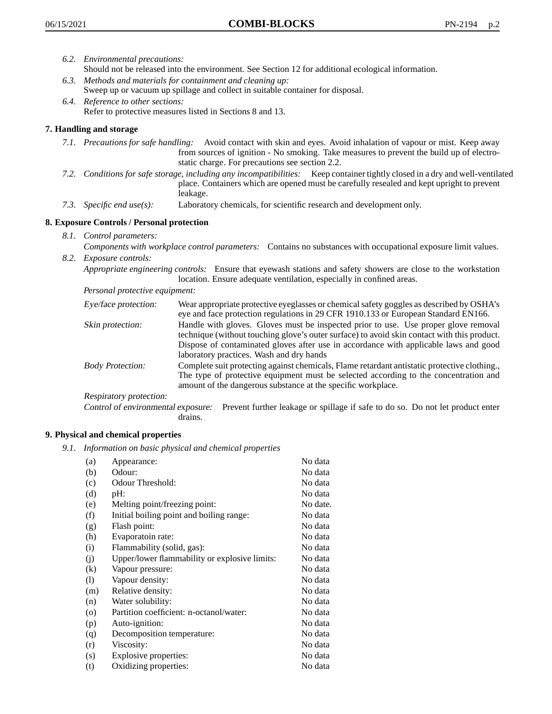- *6.2. Environmental precautions:* Should not be released into the environment. See Section 12 for additional ecological information.
- *6.3. Methods and materials for containment and cleaning up:* Sweep up or vacuum up spillage and collect in suitable container for disposal.
- *6.4. Reference to other sections:* Refer to protective measures listed in Sections 8 and 13.

# **7. Handling and storage**

- *7.1. Precautions for safe handling:* Avoid contact with skin and eyes. Avoid inhalation of vapour or mist. Keep away from sources of ignition - No smoking. Take measures to prevent the build up of electrostatic charge. For precautions see section 2.2.
- *7.2. Conditions for safe storage, including any incompatibilities:* Keep container tightly closed in a dry and well-ventilated place. Containers which are opened must be carefully resealed and kept upright to prevent leakage.
- *7.3. Specific end use(s):* Laboratory chemicals, for scientific research and development only.

# **8. Exposure Controls / Personal protection**

- *8.1. Control parameters:*
- *Components with workplace control parameters:* Contains no substances with occupational exposure limit values. *8.2. Exposure controls:*

*Appropriate engineering controls:* Ensure that eyewash stations and safety showers are close to the workstation location. Ensure adequate ventilation, especially in confined areas.

*Personal protective equipment:*

| Eye/face protection:    | Wear appropriate protective eyeglasses or chemical safety goggles as described by OSHA's<br>eye and face protection regulations in 29 CFR 1910.133 or European Standard EN166.                                                                                                                                         |
|-------------------------|------------------------------------------------------------------------------------------------------------------------------------------------------------------------------------------------------------------------------------------------------------------------------------------------------------------------|
| Skin protection:        | Handle with gloves. Gloves must be inspected prior to use. Use proper glove removal<br>technique (without touching glove's outer surface) to avoid skin contact with this product.<br>Dispose of contaminated gloves after use in accordance with applicable laws and good<br>laboratory practices. Wash and dry hands |
| <b>Body Protection:</b> | Complete suit protecting against chemicals, Flame retardant antistatic protective clothing.,<br>The type of protective equipment must be selected according to the concentration and<br>amount of the dangerous substance at the specific workplace.                                                                   |
| Respiratory protection: |                                                                                                                                                                                                                                                                                                                        |

Control of environmental exposure: Prevent further leakage or spillage if safe to do so. Do not let product enter drains.

## **9. Physical and chemical properties**

*9.1. Information on basic physical and chemical properties*

| (a)                          | Appearance:                                   | No data  |
|------------------------------|-----------------------------------------------|----------|
| (b)                          | Odour:                                        | No data  |
| (c)                          | Odour Threshold:                              | No data  |
| (d)                          | pH:                                           | No data  |
| (e)                          | Melting point/freezing point:                 | No date. |
| (f)                          | Initial boiling point and boiling range:      | No data  |
| (g)                          | Flash point:                                  | No data  |
| (h)                          | Evaporatoin rate:                             | No data  |
| (i)                          | Flammability (solid, gas):                    | No data  |
| (j)                          | Upper/lower flammability or explosive limits: | No data  |
| $\left( k\right)$            | Vapour pressure:                              | No data  |
| $\left( \frac{1}{2} \right)$ | Vapour density:                               | No data  |
| (m)                          | Relative density:                             | No data  |
| (n)                          | Water solubility:                             | No data  |
| $\circ$                      | Partition coefficient: n-octanol/water:       | No data  |
| (p)                          | Auto-ignition:                                | No data  |
| (q)                          | Decomposition temperature:                    | No data  |
| (r)                          | Viscosity:                                    | No data  |
| (s)                          | Explosive properties:                         | No data  |
| (t)                          | Oxidizing properties:                         | No data  |